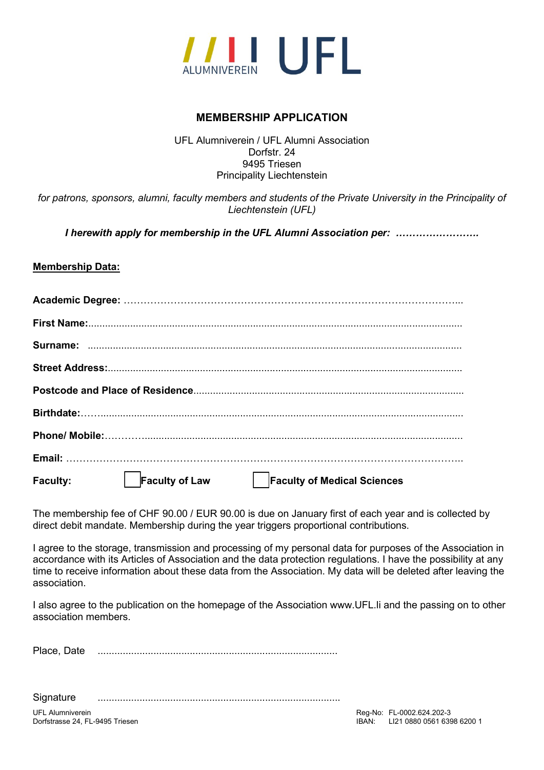

## **MEMBERSHIP APPLICATION**

### UFL Alumniverein / UFL Alumni Association Dorfstr. 24 9495 Triesen Principality Liechtenstein

*for patrons, sponsors, alumni, faculty members and students of the Private University in the Principality of Liechtenstein (UFL)*

*I herewith apply for membership in the UFL Alumni Association per: …………………….*

#### **Membership Data:**

| Faculty: |  | Faculty of Law <b>Faculty of Medical Sciences</b> |  |  |
|----------|--|---------------------------------------------------|--|--|

The membership fee of CHF 90.00 / EUR 90.00 is due on January first of each year and is collected by direct debit mandate. Membership during the year triggers proportional contributions.

I agree to the storage, transmission and processing of my personal data for purposes of the Association in accordance with its Articles of Association and the data protection regulations. I have the possibility at any time to receive information about these data from the Association. My data will be deleted after leaving the association.

I also agree to the publication on the homepage of the Association www.UFL.li and the passing on to other association members.

Place, Date ......................................................................................

Signature .......................................................................................

UFL Alumniverein Reg-No: FL-0002.624.202-3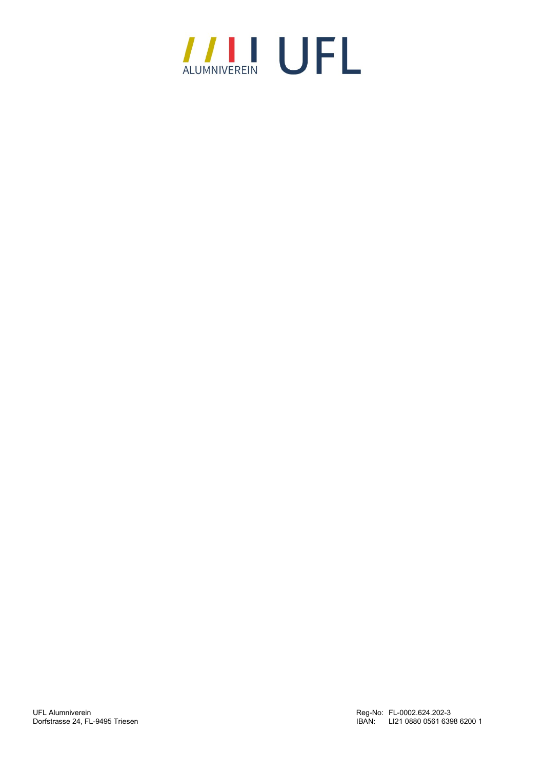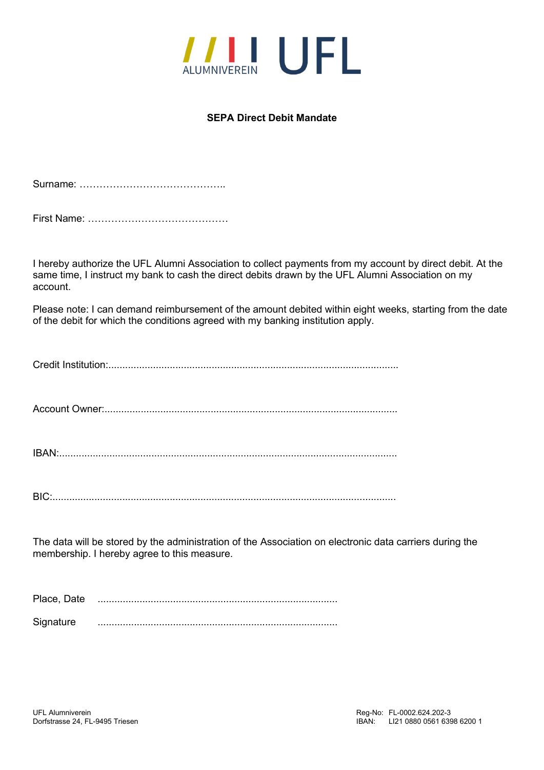

## **SEPA Direct Debit Mandate**

Surname: ……………………………………..

First Name: ……………………………………

I hereby authorize the UFL Alumni Association to collect payments from my account by direct debit. At the same time, I instruct my bank to cash the direct debits drawn by the UFL Alumni Association on my account.

Please note: I can demand reimbursement of the amount debited within eight weeks, starting from the date of the debit for which the conditions agreed with my banking institution apply.

Credit Institution:........................................................................................................

Account Owner:.........................................................................................................

IBAN:.........................................................................................................................

BIC:...........................................................................................................................

The data will be stored by the administration of the Association on electronic data carriers during the membership. I hereby agree to this measure.

| Place, Date |  |
|-------------|--|
| Signature   |  |